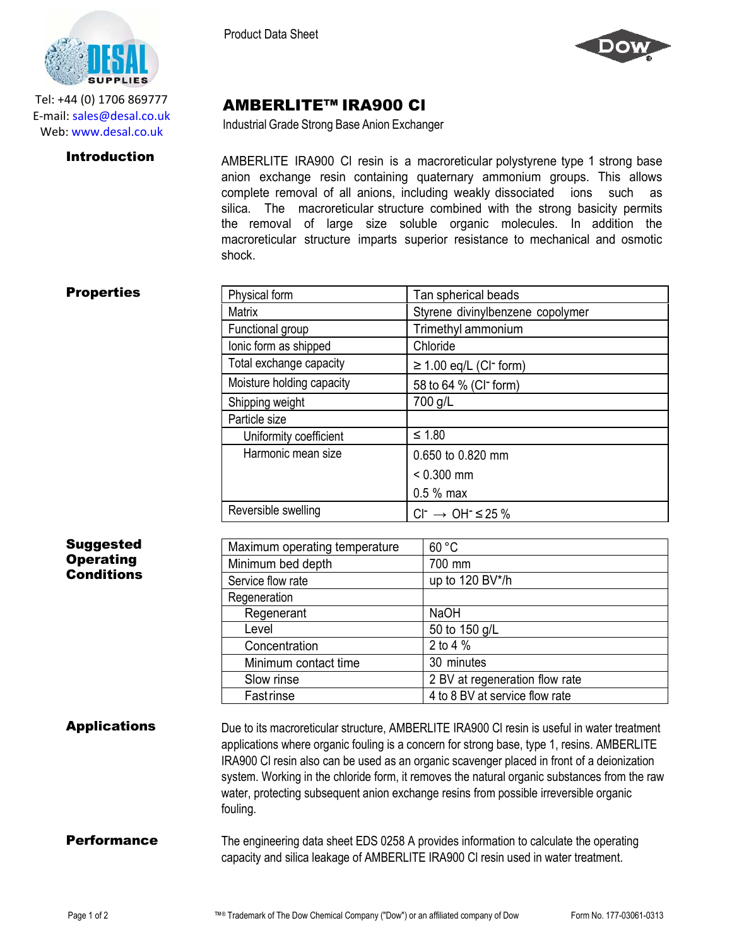AMBERLITE™ IRA900 Cl Industrial Grade Strong Base Anion Exchanger



Tel: +44 (0) 1706 869777 E‐mail: sales@desal.co.uk Web: www.desal.co.uk

**Introduction** AMBERLITE IRA900 CI resin is a macroreticular polystyrene type 1 strong base anion exchange resin containing quaternary ammonium groups. This allows complete removal of all anions, including weakly dissociated ions such as silica. The macroreticular structure combined with the strong basicity permits the removal of large size soluble organic molecules. In addition the macroreticular structure imparts superior resistance to mechanical and osmotic shock.

## **Properties**

| Physical form             | Tan spherical beads                     |  |
|---------------------------|-----------------------------------------|--|
| <b>Matrix</b>             | Styrene divinylbenzene copolymer        |  |
| Functional group          | Trimethyl ammonium                      |  |
| lonic form as shipped     | Chloride                                |  |
| Total exchange capacity   | $\geq$ 1.00 eq/L (CI <sup>-</sup> form) |  |
| Moisture holding capacity | 58 to 64 % (CI <sup>-</sup> form)       |  |
| Shipping weight           | 700 g/L                                 |  |
| Particle size             |                                         |  |
| Uniformity coefficient    | $≤ 1.80$                                |  |
| Harmonic mean size        | 0.650 to 0.820 mm                       |  |
|                           | $< 0.300$ mm                            |  |
|                           | $0.5%$ max                              |  |
| Reversible swelling       | $Cl^- \rightarrow OH^- \leq 25\%$       |  |

| <b>Suggested</b>    | Maximum operating temperature                                                                                                                                                                                                                                                                                                                                                                                                                                                                | 60 °C                                                                                 |
|---------------------|----------------------------------------------------------------------------------------------------------------------------------------------------------------------------------------------------------------------------------------------------------------------------------------------------------------------------------------------------------------------------------------------------------------------------------------------------------------------------------------------|---------------------------------------------------------------------------------------|
| <b>Operating</b>    | Minimum bed depth                                                                                                                                                                                                                                                                                                                                                                                                                                                                            | 700 mm                                                                                |
| <b>Conditions</b>   | Service flow rate                                                                                                                                                                                                                                                                                                                                                                                                                                                                            | up to 120 BV*/h                                                                       |
|                     | Regeneration                                                                                                                                                                                                                                                                                                                                                                                                                                                                                 |                                                                                       |
|                     | Regenerant                                                                                                                                                                                                                                                                                                                                                                                                                                                                                   | <b>NaOH</b>                                                                           |
|                     | Level                                                                                                                                                                                                                                                                                                                                                                                                                                                                                        | 50 to 150 g/L                                                                         |
|                     | Concentration                                                                                                                                                                                                                                                                                                                                                                                                                                                                                | 2 to 4 $%$                                                                            |
|                     | Minimum contact time                                                                                                                                                                                                                                                                                                                                                                                                                                                                         | 30 minutes                                                                            |
|                     | Slow rinse                                                                                                                                                                                                                                                                                                                                                                                                                                                                                   | 2 BV at regeneration flow rate                                                        |
|                     | <b>Fastrinse</b>                                                                                                                                                                                                                                                                                                                                                                                                                                                                             | 4 to 8 BV at service flow rate                                                        |
| <b>Applications</b> | Due to its macroreticular structure, AMBERLITE IRA900 CI resin is useful in water treatment<br>applications where organic fouling is a concern for strong base, type 1, resins. AMBERLITE<br>IRA900 CI resin also can be used as an organic scavenger placed in front of a deionization<br>system. Working in the chloride form, it removes the natural organic substances from the raw<br>water, protecting subsequent anion exchange resins from possible irreversible organic<br>fouling. |                                                                                       |
| <b>Performance</b>  | capacity and silica leakage of AMBERLITE IRA900 CI resin used in water treatment.                                                                                                                                                                                                                                                                                                                                                                                                            | The engineering data sheet EDS 0258 A provides information to calculate the operating |